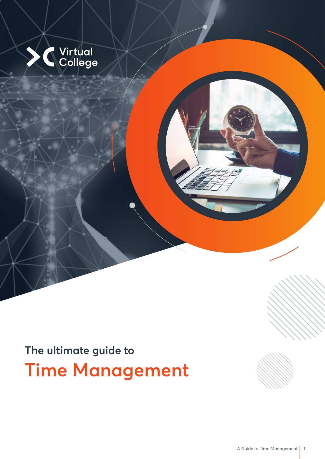

## **The ultimate guide to Time Management**

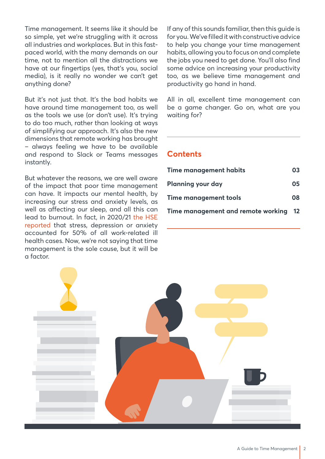Time management. It seems like it should be so simple, yet we're struggling with it across all industries and workplaces. But in this fastpaced world, with the many demands on our time, not to mention all the distractions we have at our fingertips (yes, that's you, social media), is it really no wonder we can't get anything done?

But it's not just that. It's the bad habits we have around time management too, as well as the tools we use (or don't use). It's trying to do too much, rather than looking at ways of simplifying our approach. It's also the new dimensions that remote working has brought – always feeling we have to be available and respond to Slack or Teams messages instantly.

But whatever the reasons, we are well aware of the impact that poor time management can have. It impacts our mental health, by increasing our stress and anxiety levels, as well as affecting our sleep, and all this can lead to burnout. In fact, in 2020/21 the HSE reported that stress, depression or anxiety accounted for 50% of all work-related ill health cases. Now, we're not saying that time management is the sole cause, but it will be a factor.

If any of this sounds familiar, then this guide is for you. We've filled it with constructive advice to help you change your time management habits, allowing you to focus on and complete the jobs you need to get done. You'll also find some advice on increasing your productivity too, as we believe time management and productivity go hand in hand.

All in all, excellent time management can be a game changer. Go on, what are you waiting for?

#### **Contents**

| <b>Time management habits</b>         | 03 |
|---------------------------------------|----|
| Planning your day                     | 05 |
| Time management tools                 | 08 |
| Time management and remote working 12 |    |

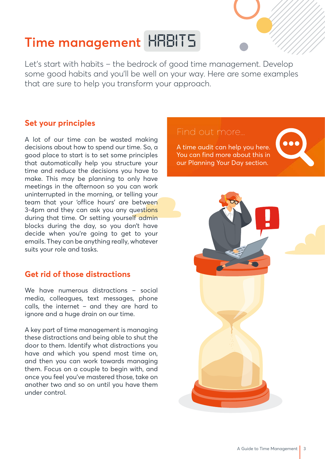# **Time management** *HABITS*

Let's start with habits – the bedrock of good time management. Develop some good habits and you'll be well on your way. Here are some examples that are sure to help you transform your approach.

#### **Set your principles**

A lot of our time can be wasted making decisions about how to spend our time. So, a good place to start is to set some principles that automatically help you structure your time and reduce the decisions you have to make. This may be planning to only have meetings in the afternoon so you can work uninterrupted in the morning, or telling your team that your 'office hours' are between 3-4pm and they can ask you any questions during that time. Or setting yourself admin blocks during the day, so you don't have decide when you're going to get to your emails. They can be anything really, whatever suits your role and tasks.

#### **Get rid of those distractions**

We have numerous distractions - social media, colleagues, text messages, phone calls, the internet – and they are hard to ignore and a huge drain on our time.

A key part of time management is managing these distractions and being able to shut the door to them. Identify what distractions you have and which you spend most time on, and then you can work towards managing them. Focus on a couple to begin with, and once you feel you've mastered those, take on another two and so on until you have them under control.

#### Find out more…

A time audit can help you here. You can find more about this in our Planning Your Day section.



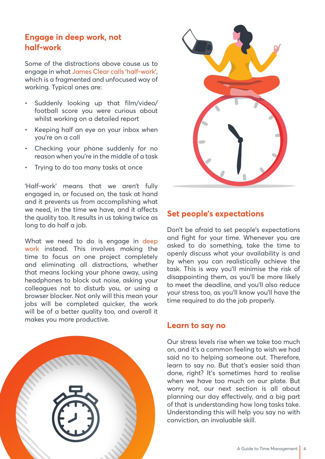#### **Engage in deep work, not half-work**

Some of the distractions above cause us to engage in what James Clear calls 'half-work', which is a fragmented and unfocused way of working. Typical ones are:

- Suddenly looking up that film/video/ football score you were curious about whilst working on a detailed report
- Keeping half an eye on your inbox when you're on a call
- Checking your phone suddenly for no reason when you're in the middle of a task
- Trying to do too many tasks at once

'Half-work' means that we aren't fully engaged in, or focused on, the task at hand and it prevents us from accomplishing what we need, in the time we have, and it affects the quality too. It results in us taking twice as long to do half a job.

What we need to do is engage in deep work instead. This involves making the time to focus on one project completely and eliminating all distractions, whether that means locking your phone away, using headphones to block out noise, asking your colleagues not to disturb you, or using a browser blocker. Not only will this mean your jobs will be completed quicker, the work will be of a better quality too, and overall it makes you more productive.



#### **Set people's expectations**

Don't be afraid to set people's expectations and fight for your time. Whenever you are asked to do something, take the time to openly discuss what your availability is and by when you can realistically achieve the task. This is way you'll minimise the risk of disappointing them, as you'll be more likely to meet the deadline, and you'll also reduce your stress too, as you'll know you'll have the time required to do the job properly.

#### **Learn to say no**

Our stress levels rise when we take too much on, and it's a common feeling to wish we had said no to helping someone out. Therefore, learn to say no. But that's easier said than done, right? It's sometimes hard to realise when we have too much on our plate. But worry not, our next section is all about planning our day effectively, and a big part of that is understanding how long tasks take. Understanding this will help you say no with conviction, an invaluable skill.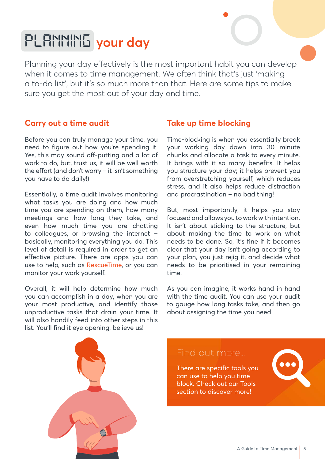## *PLANNING* **your day**

Planning your day effectively is the most important habit you can develop when it comes to time management. We often think that's just 'making a to-do list', but it's so much more than that. Here are some tips to make sure you get the most out of your day and time.

#### **Carry out a time audit**

Before you can truly manage your time, you need to figure out how you're spending it. Yes, this may sound off-putting and a lot of work to do, but, trust us, it will be well worth the effort (and don't worry – it isn't something you have to do daily!)

Essentially, a time audit involves monitoring what tasks you are doing and how much time you are spending on them, how many meetings and how long they take, and even how much time you are chatting to colleagues, or browsing the internet – basically, monitoring everything you do. This level of detail is required in order to get an effective picture. There are apps you can use to help, such as RescueTime, or you can monitor your work yourself.

Overall, it will help determine how much you can accomplish in a day, when you are your most productive, and identify those unproductive tasks that drain your time. It will also handily feed into other steps in this list. You'll find it eye opening, believe us!

#### **Take up time blocking**

Time-blocking is when you essentially break your working day down into 30 minute chunks and allocate a task to every minute. It brings with it so many benefits. It helps you structure your day; it helps prevent you from overstretching yourself, which reduces stress, and it also helps reduce distraction and procrastination – no bad thing!

But, most importantly, it helps you stay focused and allows you to work with intention. It isn't about sticking to the structure, but about making the time to work on what needs to be done. So, it's fine if it becomes clear that your day isn't going according to your plan, you just rejig it, and decide what needs to be prioritised in your remaining time.

As you can imagine, it works hand in hand with the time audit. You can use your audit to gauge how long tasks take, and then go about assigning the time you need.



There are specific tools you can use to help you time block. Check out our Tools section to discover more!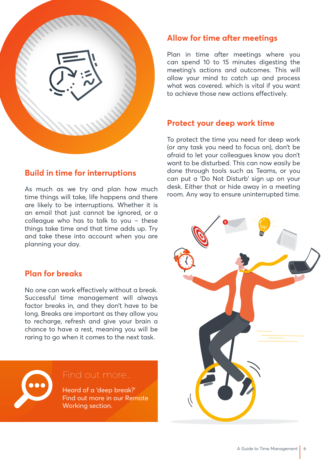

#### **Build in time for interruptions**

As much as we try and plan how much time things will take, life happens and there are likely to be interruptions. Whether it is an email that just cannot be ignored, or a colleague who has to talk to you – these things take time and that time adds up. Try and take these into account when you are planning your day.

#### **Plan for breaks**

No one can work effectively without a break. Successful time management will always factor breaks in, and they don't have to be long. Breaks are important as they allow you to recharge, refresh and give your brain a chance to have a rest, meaning you will be raring to go when it comes to the next task.



#### **Allow for time after meetings**

Plan in time after meetings where you can spend 10 to 15 minutes digesting the meeting's actions and outcomes. This will allow your mind to catch up and process what was covered. which is vital if you want to achieve those new actions effectively.

#### **Protect your deep work time**

To protect the time you need for deep work (or any task you need to focus on), don't be afraid to let your colleagues know you don't want to be disturbed. This can now easily be done through tools such as Teams, or you can put a 'Do Not Disturb' sign up on your desk. Either that or hide away in a meeting room. Any way to ensure uninterrupted time.

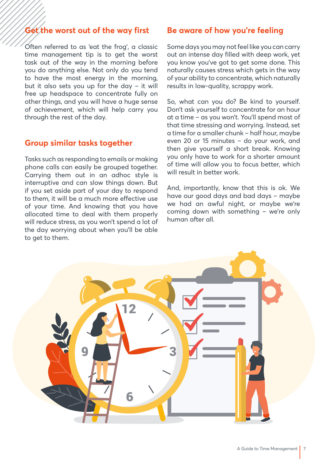### **Get the worst out of the way first**

Often referred to as 'eat the frog', a classic time management tip is to get the worst task out of the way in the morning before you do anything else. Not only do you tend to have the most energy in the morning, but it also sets you up for the day – it will free up headspace to concentrate fully on other things, and you will have a huge sense of achievement, which will help carry you through the rest of the day.

#### **Group similar tasks together**

Tasks such as responding to emails or making phone calls can easily be grouped together. Carrying them out in an adhoc style is interruptive and can slow things down. But if you set aside part of your day to respond to them, it will be a much more effective use of your time. And knowing that you have allocated time to deal with them properly will reduce stress, as you won't spend a lot of the day worrying about when you'll be able to get to them.

#### **Be aware of how you're feeling**

Some days you may not feel like you can carry out an intense day filled with deep work, yet you know you've got to get some done. This naturally causes stress which gets in the way of your ability to concentrate, which naturally results in low-quality, scrappy work.

So, what can you do? Be kind to yourself. Don't ask yourself to concentrate for an hour at a time – as you won't. You'll spend most of that time stressing and worrying. Instead, set a time for a smaller chunk – half hour, maybe even 20 or 15 minutes – do your work, and then give yourself a short break. Knowing you only have to work for a shorter amount of time will allow you to focus better, which will result in better work.

And, importantly, know that this is ok. We have our good days and bad days – maybe we had an awful night, or maybe we're coming down with something – we're only human after all.

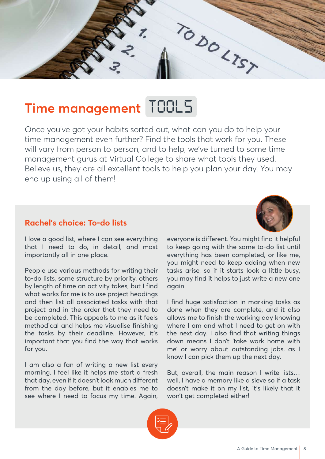TO DO LTST

### **Time management** *TOOLS*

Once you've got your habits sorted out, what can you do to help your time management even further? Find the tools that work for you. These will vary from person to person, and to help, we've turned to some time management gurus at Virtual College to share what tools they used. Believe us, they are all excellent tools to help you plan your day. You may end up using all of them!

#### **Rachel's choice: To-do lists**

I love a good list, where I can see everything that I need to do, in detail, and most importantly all in one place.

People use various methods for writing their to-do lists, some structure by priority, others by length of time an activity takes, but I find what works for me is to use project headings and then list all associated tasks with that project and in the order that they need to be completed. This appeals to me as it feels methodical and helps me visualise finishing the tasks by their deadline. However, it's important that you find the way that works for you.

I am also a fan of writing a new list every morning. I feel like it helps me start a fresh that day, even if it doesn't look much different from the day before, but it enables me to see where I need to focus my time. Again, everyone is different. You might find it helpful to keep going with the same to-do list until everything has been completed, or like me, you might need to keep adding when new tasks arise, so if it starts look a little busy, you may find it helps to just write a new one again.

I find huge satisfaction in marking tasks as done when they are complete, and it also allows me to finish the working day knowing where I am and what I need to get on with the next day. I also find that writing things down means I don't 'take work home with me' or worry about outstanding jobs, as I know I can pick them up the next day.

But, overall, the main reason I write lists… well, I have a memory like a sieve so if a task doesn't make it on my list, it's likely that it won't get completed either!

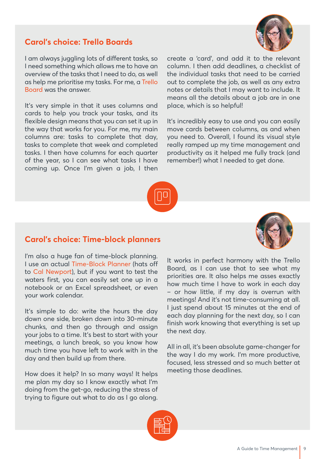#### **Carol's choice: Trello Boards**



I am always juggling lots of different tasks, so I need something which allows me to have an overview of the tasks that I need to do, as well as help me prioritise my tasks. For me, a Trello Board was the answer.

It's very simple in that it uses columns and cards to help you track your tasks, and its flexible design means that you can set it up in the way that works for you. For me, my main columns are: tasks to complete that day, tasks to complete that week and completed tasks. I then have columns for each quarter of the year, so I can see what tasks I have coming up. Once I'm given a job, I then

create a 'card', and add it to the relevant column. I then add deadlines, a checklist of the individual tasks that need to be carried out to complete the job, as well as any extra notes or details that I may want to include. It means all the details about a job are in one place, which is so helpful!

It's incredibly easy to use and you can easily move cards between columns, as and when you need to. Overall, I found its visual style really ramped up my time management and productivity as it helped me fully track (and remember!) what I needed to get done.



#### **Carol's choice: Time-block planners**

I'm also a huge fan of time-block planning. I use an actual Time-Block Planner (hats off to Cal Newport), but if you want to test the waters first, you can easily set one up in a notebook or an Excel spreadsheet, or even your work calendar.

It's simple to do: write the hours the day down one side, broken down into 30-minute chunks, and then go through and assign your jobs to a time. It's best to start with your meetings, a lunch break, so you know how much time you have left to work with in the day and then build up from there.

How does it help? In so many ways! It helps me plan my day so I know exactly what I'm doing from the get-go, reducing the stress of trying to figure out what to do as I go along.



It works in perfect harmony with the Trello Board, as I can use that to see what my priorities are. It also helps me asses exactly how much time I have to work in each day – or how little, if my day is overrun with meetings! And it's not time-consuming at all. I just spend about 15 minutes at the end of each day planning for the next day, so I can finish work knowing that everything is set up the next day.

All in all, it's been absolute game-changer for the way I do my work. I'm more productive, focused, less stressed and so much better at meeting those deadlines.

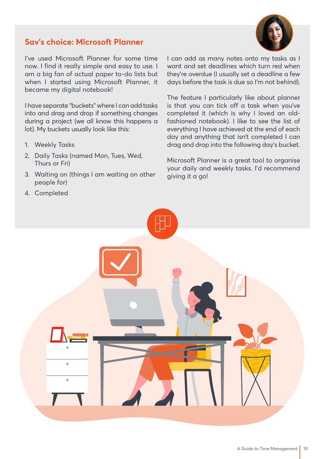#### **Sav's choice: Microsoft Planner**

I've used Microsoft Planner for some time now. I find it really simple and easy to use. I am a big fan of actual paper to-do lists but when I started using Microsoft Planner, it became my digital notebook!

I have separate "buckets" where I can add tasks into and drag and drop if something changes during a project (we all know this happens a lot). My buckets usually look like this:

- 1. Weekly Tasks
- 2. Daily Tasks (named Mon, Tues, Wed, Thurs or Fri)
- 3. Waiting on (things I am waiting on other people for)

I can add as many notes onto my tasks as I want and set deadlines which turn red when they're overdue (I usually set a deadline a few days before the task is due so I'm not behind).

The feature I particularly like about planner is that you can tick off a task when you've completed it (which is why I loved an oldfashioned notebook). I like to see the list of everything I have achieved at the end of each day and anything that isn't completed I can drag and drop into the following day's bucket.

Microsoft Planner is a great tool to organise your daily and weekly tasks. I'd recommend giving it a go!

4. Completed

 $\overline{\phantom{a}}$ 

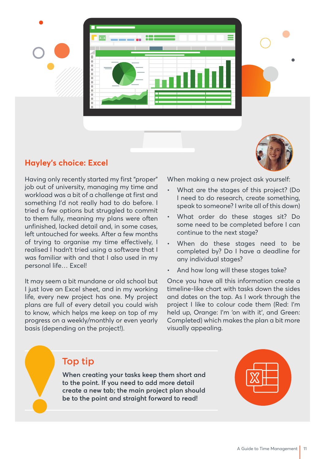



#### **Hayley's choice: Excel**

Having only recently started my first "proper" job out of university, managing my time and workload was a bit of a challenge at first and something I'd not really had to do before. I tried a few options but struggled to commit to them fully, meaning my plans were often unfinished, lacked detail and, in some cases, left untouched for weeks. After a few months of trying to organise my time effectively, I realised I hadn't tried using a software that I was familiar with and that I also used in my personal life… Excel!

It may seem a bit mundane or old school but I just love an Excel sheet, and in my working life, every new project has one. My project plans are full of every detail you could wish to know, which helps me keep on top of my progress on a weekly/monthly or even yearly basis (depending on the project!).

When making a new project ask yourself:

- What are the stages of this project? (Do I need to do research, create something, speak to someone? I write all of this down)
- What order do these stages sit? Do some need to be completed before I can continue to the next stage?
- When do these stages need to be completed by? Do I have a deadline for any individual stages?
- And how long will these stages take?

Once you have all this information create a timeline-like chart with tasks down the sides and dates on the top. As I work through the project I like to colour code them (Red: I'm held up, Orange: I'm 'on with it', and Green: Completed) which makes the plan a bit more visually appealing.

### Top tip

**When creating your tasks keep them short and to the point. If you need to add more detail create a new tab; the main project plan should be to the point and straight forward to read!**

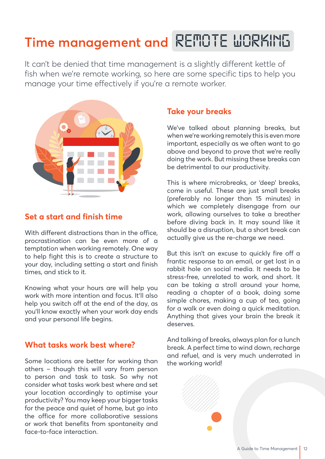### **Time management and** *REMOTE WORKING*

It can't be denied that time management is a slightly different kettle of fish when we're remote working, so here are some specific tips to help you manage your time effectively if you're a remote worker.



#### **Set a start and finish time**

With different distractions than in the office. procrastination can be even more of a temptation when working remotely. One way to help fight this is to create a structure to your day, including setting a start and finish times, and stick to it.

Knowing what your hours are will help you work with more intention and focus. It'll also help you switch off at the end of the day, as you'll know exactly when your work day ends and your personal life begins.

#### **What tasks work best where?**

Some locations are better for working than others – though this will vary from person to person and task to task. So why not consider what tasks work best where and set your location accordingly to optimise your productivity? You may keep your bigger tasks for the peace and quiet of home, but go into the office for more collaborative sessions or work that benefits from spontaneity and face-to-face interaction.

#### **Take your breaks**

We've talked about planning breaks, but when we're working remotely this is even more important, especially as we often want to go above and beyond to prove that we're really doing the work. But missing these breaks can be detrimental to our productivity.

This is where microbreaks, or 'deep' breaks, come in useful. These are just small breaks (preferably no longer than 15 minutes) in which we completely disengage from our work, allowing ourselves to take a breather before diving back in. It may sound like it should be a disruption, but a short break can actually give us the re-charge we need.

But this isn't an excuse to quickly fire off a frantic response to an email, or get lost in a rabbit hole on social media. It needs to be stress-free, unrelated to work, and short. It can be taking a stroll around your home, reading a chapter of a book, doing some simple chores, making a cup of tea, going for a walk or even doing a quick meditation. Anything that gives your brain the break it deserves.

And talking of breaks, always plan for a lunch break. A perfect time to wind down, recharge and refuel, and is very much underrated in the working world!